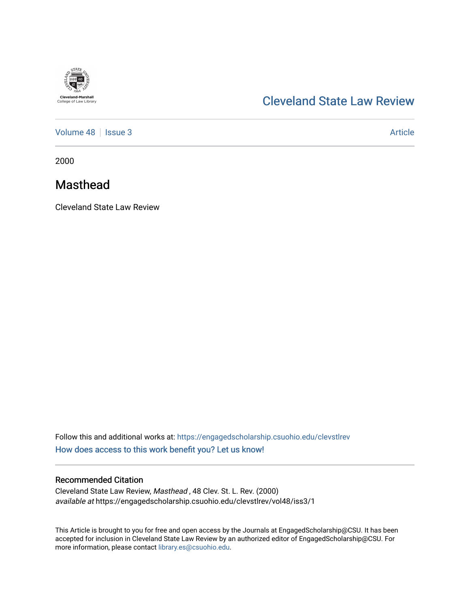

# [Cleveland State Law Review](https://engagedscholarship.csuohio.edu/clevstlrev)

[Volume 48](https://engagedscholarship.csuohio.edu/clevstlrev/vol48) | [Issue 3](https://engagedscholarship.csuohio.edu/clevstlrev/vol48/iss3) Article

2000

## Masthead

Cleveland State Law Review

Follow this and additional works at: [https://engagedscholarship.csuohio.edu/clevstlrev](https://engagedscholarship.csuohio.edu/clevstlrev?utm_source=engagedscholarship.csuohio.edu%2Fclevstlrev%2Fvol48%2Fiss3%2F1&utm_medium=PDF&utm_campaign=PDFCoverPages) [How does access to this work benefit you? Let us know!](http://library.csuohio.edu/engaged/)

## Recommended Citation

Cleveland State Law Review, Masthead , 48 Clev. St. L. Rev. (2000) available at https://engagedscholarship.csuohio.edu/clevstlrev/vol48/iss3/1

This Article is brought to you for free and open access by the Journals at EngagedScholarship@CSU. It has been accepted for inclusion in Cleveland State Law Review by an authorized editor of EngagedScholarship@CSU. For more information, please contact [library.es@csuohio.edu](mailto:library.es@csuohio.edu).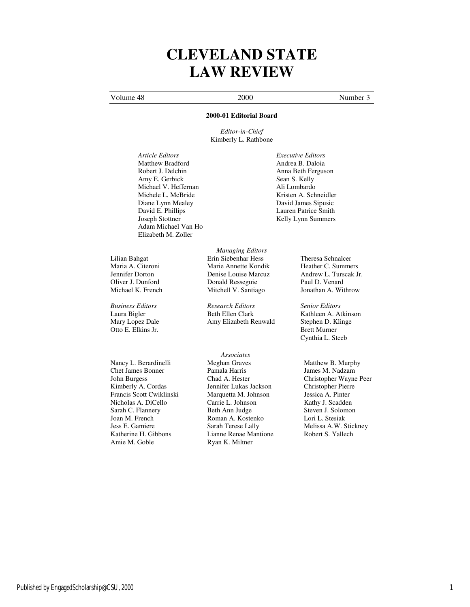# **CLEVELAND STATE LAW REVIEW**

## Volume 48 2000 Number 3

### **2000-01 Editorial Board**

*Editor-in-Chief* Kimberly L. Rathbone

*Article Editors Executive Editors* Matthew Bradford Andrea B. Daloia Robert J. Delchin Anna Beth Ferguson Amy E. Gerbick Sean S. Kelly<br>Michael V. Heffernan S. Kelly<br>Ali Lombardo Michael V. Heffernan<br>Michele L. McBride Diane Lynn Mealey David James Sipusic<br>
David E. Phillips<br>
Lauren Patrice Smith David E. Phillips Lauren Patrice Smith Joseph Stottner (1999)<br>
Lauren Patrice Smith Kelly Lynn Summers Adam Michael Van Ho Elizabeth M. Zoller

Otto E. Elkins Jr. Brett Murner

Nancy L. Berardinelli Chet James Bonner John Burgess Kimberly A. Cordas Francis Scott Cwiklinski Nicholas A. DiCello Sarah C. Flannery Joan M. French Jess E. Gamiere Katherine H. Gibbons Amie M. Goble

*Managing Editors*  Lilian Bahgat Erin Siebenhar Hess Theresa Schnalcer Maria A. Citeroni **Marie Annette Kondik** Heather C. Summers<br>
Jennifer Dorton **Marie Louise Marcuz** Andrew L. Turscak Jr. Denise Louise Marcuz Andrew L. Turs<br>Donald Resseguie Paul D. Venard Oliver J. Dunford Donald Resseguie Paul D. Venard<br>
Michael K. French Mitchell V. Santiago Jonathan A. Withrow Mitchell V. Santiago

*Business Editors Research Editors Senior Editors* Mary Lopez Dale Amy Elizabeth Renwald Stephen D. Klinge

> *Associates*  Meghan Graves Pamala Harris Chad A. Hester Jennifer Lukas Jackson Marquetta M. Johnson Carrie L. Johnson Beth Ann Judge Roman A. Kostenko Sarah Terese Lally Lianne Renae Mantione Ryan K. Miltner

Kristen A. Schneidler Kelly Lynn Summers

Kathleen A. Atkinson Cynthia L. Steeb

Matthew B. Murphy James M. Nadzam Christopher Wayne Peer Christopher Pierre Jessica A. Pinter Kathy J. Scadden Steven J. Solomon Lori L. Stesiak Melissa A.W. Stickney Robert S. Yallech